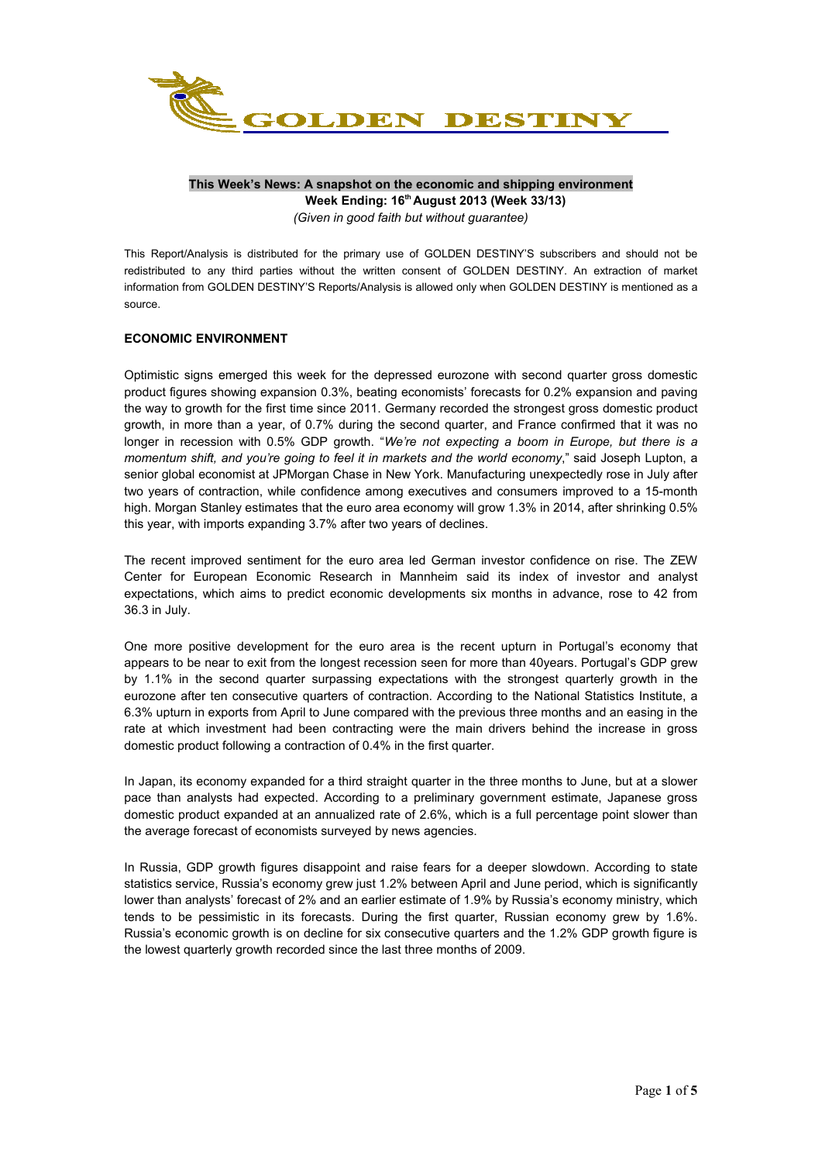

## **This Week's News: A snapshot on the economic and shipping environment Week Ending: 16th August 2013 (Week 33/13)**  *(Given in good faith but without guarantee)*

This Report/Analysis is distributed for the primary use of GOLDEN DESTINY'S subscribers and should not be redistributed to any third parties without the written consent of GOLDEN DESTINY. An extraction of market information from GOLDEN DESTINY'S Reports/Analysis is allowed only when GOLDEN DESTINY is mentioned as a

# **ECONOMIC ENVIRONMENT**

source.

Optimistic signs emerged this week for the depressed eurozone with second quarter gross domestic product figures showing expansion 0.3%, beating economists' forecasts for 0.2% expansion and paving the way to growth for the first time since 2011. Germany recorded the strongest gross domestic product growth, in more than a year, of 0.7% during the second quarter, and France confirmed that it was no longer in recession with 0.5% GDP growth. "*We're not expecting a boom in Europe, but there is a momentum shift, and you're going to feel it in markets and the world economy*," said Joseph Lupton, a senior global economist at JPMorgan Chase in New York. Manufacturing unexpectedly rose in July after two years of contraction, while confidence among executives and consumers improved to a 15-month high. Morgan Stanley estimates that the euro area economy will grow 1.3% in 2014, after shrinking 0.5% this year, with imports expanding 3.7% after two years of declines.

The recent improved sentiment for the euro area led German investor confidence on rise. The ZEW Center for European Economic Research in Mannheim said its index of investor and analyst expectations, which aims to predict economic developments six months in advance, rose to 42 from 36.3 in July.

One more positive development for the euro area is the recent upturn in Portugal's economy that appears to be near to exit from the longest recession seen for more than 40years. Portugal's GDP grew by 1.1% in the second quarter surpassing expectations with the strongest quarterly growth in the eurozone after ten consecutive quarters of contraction. According to the National Statistics Institute, a 6.3% upturn in exports from April to June compared with the previous three months and an easing in the rate at which investment had been contracting were the main drivers behind the increase in gross domestic product following a contraction of 0.4% in the first quarter.

In Japan, its economy expanded for a third straight quarter in the three months to June, but at a slower pace than analysts had expected. According to a preliminary government estimate, Japanese gross domestic product expanded at an annualized rate of 2.6%, which is a full percentage point slower than the average forecast of economists surveyed by news agencies.

In Russia, GDP growth figures disappoint and raise fears for a deeper slowdown. According to state statistics service, Russia's economy grew just 1.2% between April and June period, which is significantly lower than analysts' forecast of 2% and an earlier estimate of 1.9% by Russia's economy ministry, which tends to be pessimistic in its forecasts. During the first quarter, Russian economy grew by 1.6%. Russia's economic growth is on decline for six consecutive quarters and the 1.2% GDP growth figure is the lowest quarterly growth recorded since the last three months of 2009.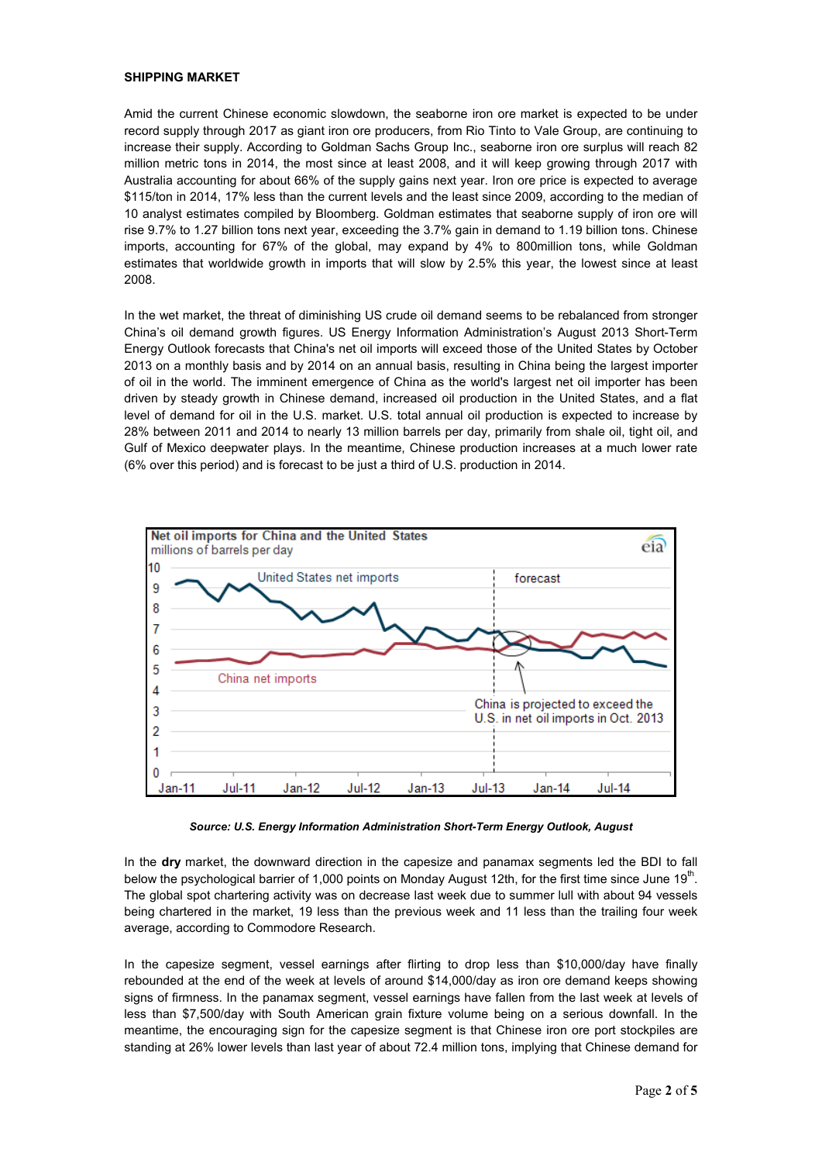### **SHIPPING MARKET**

Amid the current Chinese economic slowdown, the seaborne iron ore market is expected to be under record supply through 2017 as giant iron ore producers, from Rio Tinto to Vale Group, are continuing to increase their supply. According to Goldman Sachs Group Inc., seaborne iron ore surplus will reach 82 million metric tons in 2014, the most since at least 2008, and it will keep growing through 2017 with Australia accounting for about 66% of the supply gains next year. Iron ore price is expected to average \$115/ton in 2014, 17% less than the current levels and the least since 2009, according to the median of 10 analyst estimates compiled by Bloomberg. Goldman estimates that seaborne supply of iron ore will rise 9.7% to 1.27 billion tons next year, exceeding the 3.7% gain in demand to 1.19 billion tons. Chinese imports, accounting for 67% of the global, may expand by 4% to 800million tons, while Goldman estimates that worldwide growth in imports that will slow by 2.5% this year, the lowest since at least 2008.

In the wet market, the threat of diminishing US crude oil demand seems to be rebalanced from stronger China's oil demand growth figures. US Energy Information Administration's August 2013 Short-Term Energy Outlook forecasts that China's net oil imports will exceed those of the United States by October 2013 on a monthly basis and by 2014 on an annual basis, resulting in China being the largest importer of oil in the world. The imminent emergence of China as the world's largest net oil importer has been driven by steady growth in Chinese demand, increased oil production in the United States, and a flat level of demand for oil in the U.S. market. U.S. total annual oil production is expected to increase by 28% between 2011 and 2014 to nearly 13 million barrels per day, primarily from shale oil, tight oil, and Gulf of Mexico deepwater plays. In the meantime, Chinese production increases at a much lower rate (6% over this period) and is forecast to be just a third of U.S. production in 2014.



*Source: U.S. Energy Information Administration Short-Term Energy Outlook, August* 

In the **dry** market, the downward direction in the capesize and panamax segments led the BDI to fall below the psychological barrier of 1,000 points on Monday August 12th, for the first time since June 19<sup>th</sup>. The global spot chartering activity was on decrease last week due to summer lull with about 94 vessels being chartered in the market, 19 less than the previous week and 11 less than the trailing four week average, according to Commodore Research.

In the capesize segment, vessel earnings after flirting to drop less than \$10,000/day have finally rebounded at the end of the week at levels of around \$14,000/day as iron ore demand keeps showing signs of firmness. In the panamax segment, vessel earnings have fallen from the last week at levels of less than \$7,500/day with South American grain fixture volume being on a serious downfall. In the meantime, the encouraging sign for the capesize segment is that Chinese iron ore port stockpiles are standing at 26% lower levels than last year of about 72.4 million tons, implying that Chinese demand for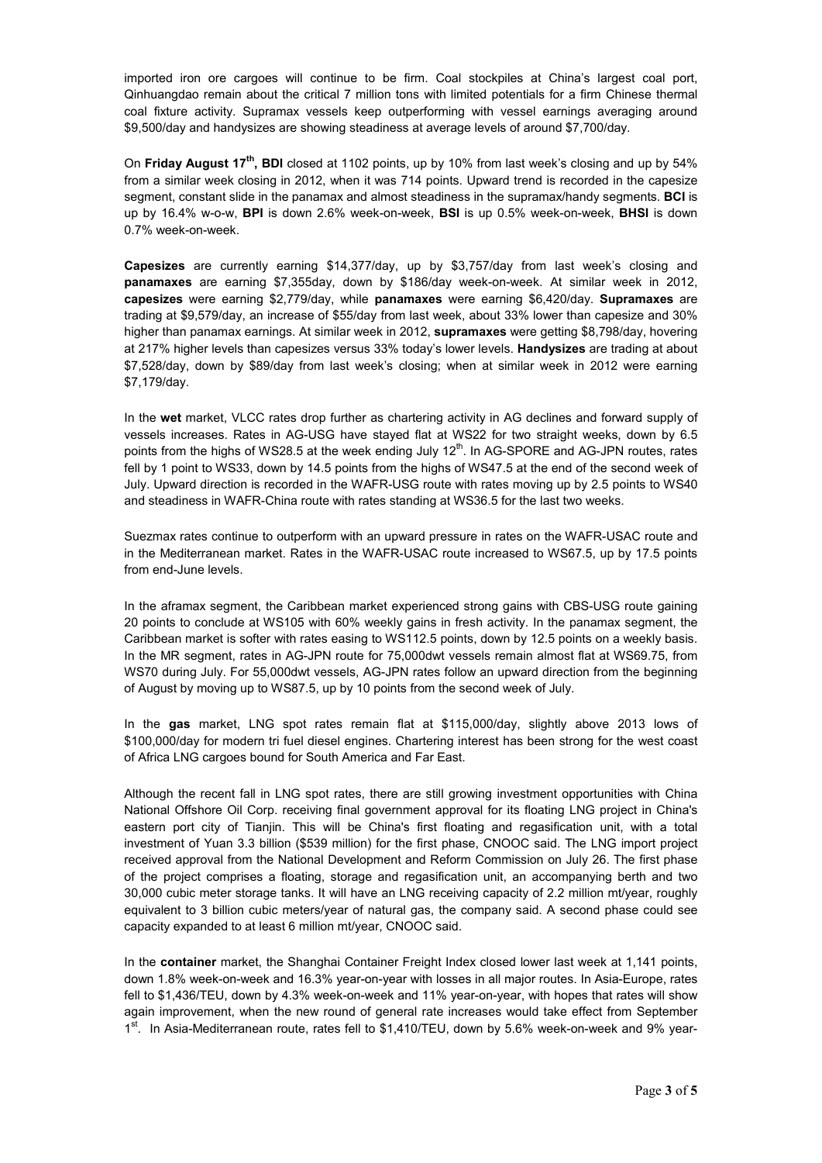imported iron ore cargoes will continue to be firm. Coal stockpiles at China's largest coal port, Qinhuangdao remain about the critical 7 million tons with limited potentials for a firm Chinese thermal coal fixture activity. Supramax vessels keep outperforming with vessel earnings averaging around \$9,500/day and handysizes are showing steadiness at average levels of around \$7,700/day.

On **Friday August 17th, BDI** closed at 1102 points, up by 10% from last week's closing and up by 54% from a similar week closing in 2012, when it was 714 points. Upward trend is recorded in the capesize segment, constant slide in the panamax and almost steadiness in the supramax/handy segments. **BCI** is up by 16.4% w-o-w, **BPI** is down 2.6% week-on-week, **BSI** is up 0.5% week-on-week, **BHSI** is down 0.7% week-on-week.

**Capesizes** are currently earning \$14,377/day, up by \$3,757/day from last week's closing and **panamaxes** are earning \$7,355day, down by \$186/day week-on-week. At similar week in 2012, **capesizes** were earning \$2,779/day, while **panamaxes** were earning \$6,420/day. **Supramaxes** are trading at \$9,579/day, an increase of \$55/day from last week, about 33% lower than capesize and 30% higher than panamax earnings. At similar week in 2012, **supramaxes** were getting \$8,798/day, hovering at 217% higher levels than capesizes versus 33% today's lower levels. **Handysizes** are trading at about \$7,528/day, down by \$89/day from last week's closing; when at similar week in 2012 were earning \$7,179/day.

In the **wet** market, VLCC rates drop further as chartering activity in AG declines and forward supply of vessels increases. Rates in AG-USG have stayed flat at WS22 for two straight weeks, down by 6.5 points from the highs of WS28.5 at the week ending July 12<sup>th</sup>. In AG-SPORE and AG-JPN routes, rates fell by 1 point to WS33, down by 14.5 points from the highs of WS47.5 at the end of the second week of July. Upward direction is recorded in the WAFR-USG route with rates moving up by 2.5 points to WS40 and steadiness in WAFR-China route with rates standing at WS36.5 for the last two weeks.

Suezmax rates continue to outperform with an upward pressure in rates on the WAFR-USAC route and in the Mediterranean market. Rates in the WAFR-USAC route increased to WS67.5, up by 17.5 points from end-June levels.

In the aframax segment, the Caribbean market experienced strong gains with CBS-USG route gaining 20 points to conclude at WS105 with 60% weekly gains in fresh activity. In the panamax segment, the Caribbean market is softer with rates easing to WS112.5 points, down by 12.5 points on a weekly basis. In the MR segment, rates in AG-JPN route for 75,000dwt vessels remain almost flat at WS69.75, from WS70 during July. For 55,000dwt vessels, AG-JPN rates follow an upward direction from the beginning of August by moving up to WS87.5, up by 10 points from the second week of July.

In the **gas** market, LNG spot rates remain flat at \$115,000/day, slightly above 2013 lows of \$100,000/day for modern tri fuel diesel engines. Chartering interest has been strong for the west coast of Africa LNG cargoes bound for South America and Far East.

Although the recent fall in LNG spot rates, there are still growing investment opportunities with China National Offshore Oil Corp. receiving final government approval for its floating LNG project in China's eastern port city of Tianjin. This will be China's first floating and regasification unit, with a total investment of Yuan 3.3 billion (\$539 million) for the first phase, CNOOC said. The LNG import project received approval from the National Development and Reform Commission on July 26. The first phase of the project comprises a floating, storage and regasification unit, an accompanying berth and two 30,000 cubic meter storage tanks. It will have an LNG receiving capacity of 2.2 million mt/year, roughly equivalent to 3 billion cubic meters/year of natural gas, the company said. A second phase could see capacity expanded to at least 6 million mt/year, CNOOC said.

In the **container** market, the Shanghai Container Freight Index closed lower last week at 1,141 points, down 1.8% week-on-week and 16.3% year-on-year with losses in all major routes. In Asia-Europe, rates fell to \$1,436/TEU, down by 4.3% week-on-week and 11% year-on-year, with hopes that rates will show again improvement, when the new round of general rate increases would take effect from September 1<sup>st</sup>. In Asia-Mediterranean route, rates fell to \$1,410/TEU, down by 5.6% week-on-week and 9% year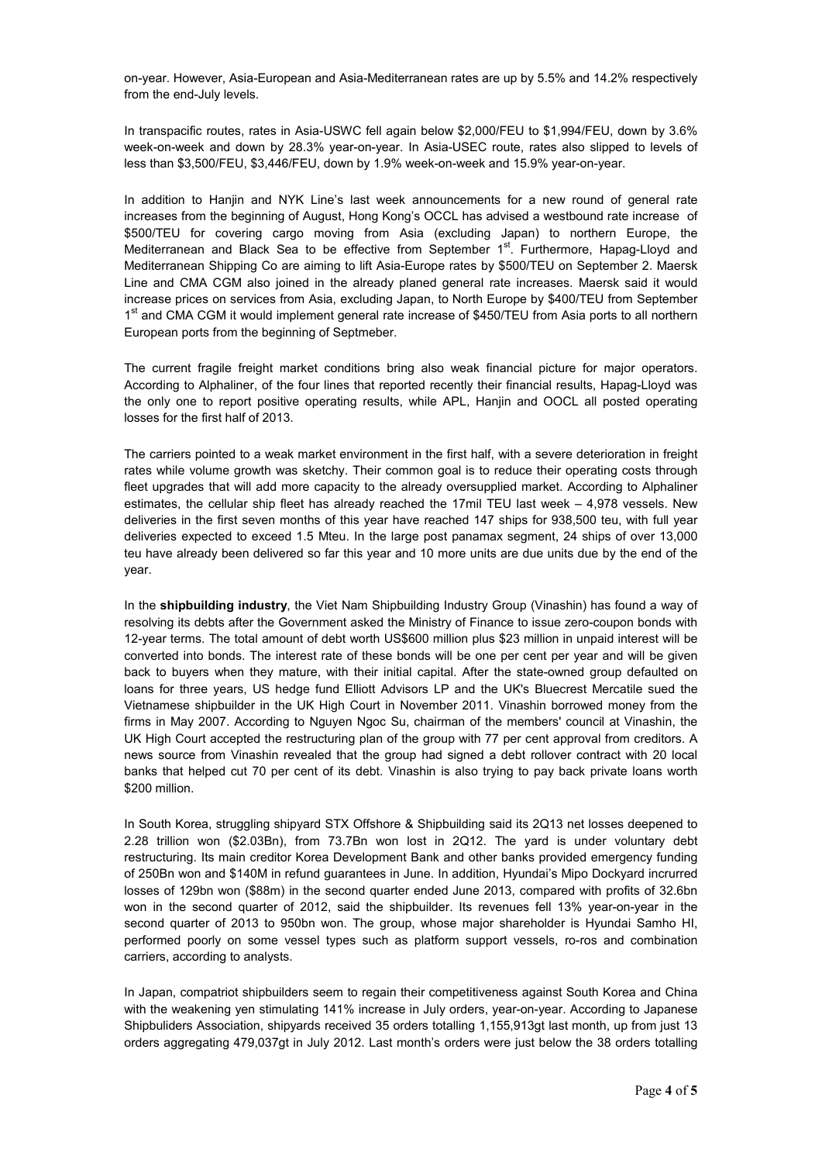on-year. However, Asia-European and Asia-Mediterranean rates are up by 5.5% and 14.2% respectively from the end-July levels.

In transpacific routes, rates in Asia-USWC fell again below \$2,000/FEU to \$1,994/FEU, down by 3.6% week-on-week and down by 28.3% year-on-year. In Asia-USEC route, rates also slipped to levels of less than \$3,500/FEU, \$3,446/FEU, down by 1.9% week-on-week and 15.9% year-on-year.

In addition to Hanjin and NYK Line's last week announcements for a new round of general rate increases from the beginning of August, Hong Kong's OCCL has advised a westbound rate increase of \$500/TEU for covering cargo moving from Asia (excluding Japan) to northern Europe, the Mediterranean and Black Sea to be effective from September 1<sup>st</sup>. Furthermore, Hapag-Lloyd and Mediterranean Shipping Co are aiming to lift Asia-Europe rates by \$500/TEU on September 2. Maersk Line and CMA CGM also joined in the already planed general rate increases. Maersk said it would increase prices on services from Asia, excluding Japan, to North Europe by \$400/TEU from September 1<sup>st</sup> and CMA CGM it would implement general rate increase of \$450/TEU from Asia ports to all northern European ports from the beginning of Septmeber.

The current fragile freight market conditions bring also weak financial picture for major operators. According to Alphaliner, of the four lines that reported recently their financial results, Hapag-Lloyd was the only one to report positive operating results, while APL, Hanjin and OOCL all posted operating losses for the first half of 2013.

The carriers pointed to a weak market environment in the first half, with a severe deterioration in freight rates while volume growth was sketchy. Their common goal is to reduce their operating costs through fleet upgrades that will add more capacity to the already oversupplied market. According to Alphaliner estimates, the cellular ship fleet has already reached the 17mil TEU last week – 4,978 vessels. New deliveries in the first seven months of this year have reached 147 ships for 938,500 teu, with full year deliveries expected to exceed 1.5 Mteu. In the large post panamax segment, 24 ships of over 13,000 teu have already been delivered so far this year and 10 more units are due units due by the end of the year.

In the **shipbuilding industry**, the Viet Nam Shipbuilding Industry Group (Vinashin) has found a way of resolving its debts after the Government asked the Ministry of Finance to issue zero-coupon bonds with 12-year terms. The total amount of debt worth US\$600 million plus \$23 million in unpaid interest will be converted into bonds. The interest rate of these bonds will be one per cent per year and will be given back to buyers when they mature, with their initial capital. After the state-owned group defaulted on loans for three years, US hedge fund Elliott Advisors LP and the UK's Bluecrest Mercatile sued the Vietnamese shipbuilder in the UK High Court in November 2011. Vinashin borrowed money from the firms in May 2007. According to Nguyen Ngoc Su, chairman of the members' council at Vinashin, the UK High Court accepted the restructuring plan of the group with 77 per cent approval from creditors. A news source from Vinashin revealed that the group had signed a debt rollover contract with 20 local banks that helped cut 70 per cent of its debt. Vinashin is also trying to pay back private loans worth \$200 million.

In South Korea, struggling shipyard STX Offshore & Shipbuilding said its 2Q13 net losses deepened to 2.28 trillion won (\$2.03Bn), from 73.7Bn won lost in 2Q12. The yard is under voluntary debt restructuring. Its main creditor Korea Development Bank and other banks provided emergency funding of 250Bn won and \$140M in refund guarantees in June. In addition, Hyundai's Mipo Dockyard incrurred losses of 129bn won (\$88m) in the second quarter ended June 2013, compared with profits of 32.6bn won in the second quarter of 2012, said the shipbuilder. Its revenues fell 13% year-on-year in the second quarter of 2013 to 950bn won. The group, whose major shareholder is Hyundai Samho HI, performed poorly on some vessel types such as platform support vessels, ro-ros and combination carriers, according to analysts.

In Japan, compatriot shipbuilders seem to regain their competitiveness against South Korea and China with the weakening yen stimulating 141% increase in July orders, year-on-year. According to Japanese Shipbuliders Association, shipyards received 35 orders totalling 1,155,913gt last month, up from just 13 orders aggregating 479,037gt in July 2012. Last month's orders were just below the 38 orders totalling